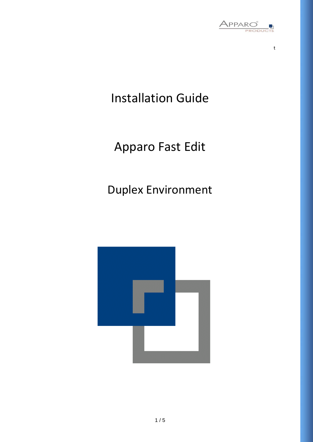

t

# Installation Guide

# Apparo Fast Edit

## Duplex Environment

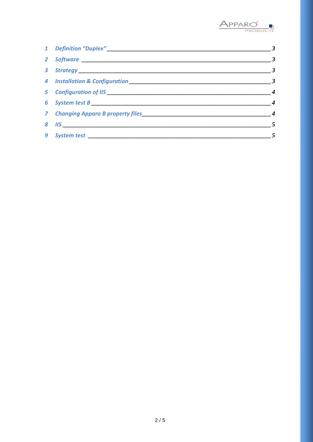

|                                                 | $\overline{\mathbf{3}}$ |
|-------------------------------------------------|-------------------------|
| 2 Software                                      | $\overline{\mathbf{3}}$ |
|                                                 | $\boldsymbol{\beta}$    |
|                                                 | $\overline{\mathbf{3}}$ |
| 5 Configuration of IIS <u>Conservation</u> 2014 | $\overline{4}$          |
|                                                 | $\overline{4}$          |
|                                                 | $\boldsymbol{4}$        |
|                                                 | $\overline{5}$          |
|                                                 | $\overline{5}$          |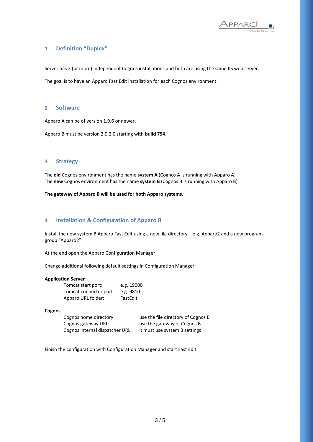

## **1 Definition "Duplex"**

Server has 2 (or more) independent Cognos installations and both are using the same IIS web server.

The goal is to have an Apparo Fast Edit installation for each Cognos environment.

#### **2 Software**

Apparo A can be of version 1.9.6 or newer.

Apparo B must be version 2.0.2.0 starting with **build 754.**

#### **3 Strategy**

The **old** Cognos environment has the name **system A** (Cognos A is running with Apparo A) The **new** Cognos environment has the name **system B** (Cognos B is running with Apparo B)

**The gateway of Apparo B will be used for both Apparo systems.**

### **4 Installation & Configuration of Apparo B**

Install the new system B Apparo Fast Edit using a new file directory – e.g. Apparo2 and a new program group "Apparo2"

At the end open the Apparo Configuration Manager.

Change additional following default settings in Configuration Manager:

#### **Application Server**

| Tomcat start port:    | e.g. 19000 |
|-----------------------|------------|
| Tomcat connector port | e.g. 9810  |
| Apparo URL folder:    | FastEdit   |

#### **Cognos**

Cognos home directory: use the file directory of Cognos B Cognos gateway URL: use the gateway of Cognos B Cognos internal dispatcher URL: it must use system B settings

Finish the configuration with Configuration Manager and start Fast Edit.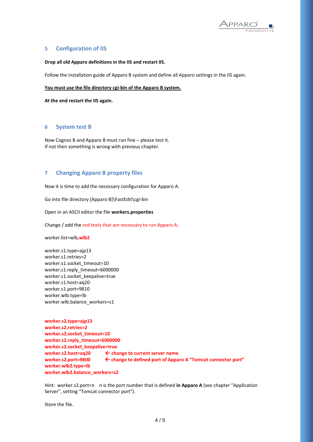

## **5 Configuration of IIS**

#### **Drop all old Apparo definitions in the IIS and restart IIS.**

Follow the installation guide of Apparo B system and define all Apparo settings in the IIS again.

#### **You must use the file directory cgi-bin of the Apparo B system.**

**At the end restart the IIS again.**

#### **6 System test B**

Now Cognos B and Apparo B must run fine – please test it. If not then something is wrong with previous chapter.

#### **7 Changing Apparo B property files**

Now it is time to add the necessary configuration for Apparo A.

Go into file directory [Apparo B]\FastEdit\cgi-bin

Open in an ASCII editor the file **workers.properties**

Change / add the red texts that are necessary to run Apparo A:

worker.list=wlb**,wlb2**

worker.s1.type=ajp13 worker.s1.retries=2 worker.s1.socket\_timeout=10 worker.s1.reply\_timeout=6000000 worker.s1.socket\_keepalive=true worker.s1.host=aq20 worker.s1.port=9810 worker.wlb.type=lb worker.wlb.balance\_workers=s1

```
worker.s2.type=ajp13
worker.s2.retries=2
worker.s2.socket_timeout=10
worker.s2.reply_timeout=6000000
worker.s2.socket_keepalive=true
worker.s2.host=aq20  change to current server name
worker.s2.port=9800  change to defined port of Apparo A "Tomcat connector port"
worker.wlb2.type=lb
worker.wlb2.balance_workers=s2
```
Hint: worker.s2.port=n n is the port number that is defined **in Apparo A** (see chapter "Application Server", setting "Tomcat connector port").

Store the file.